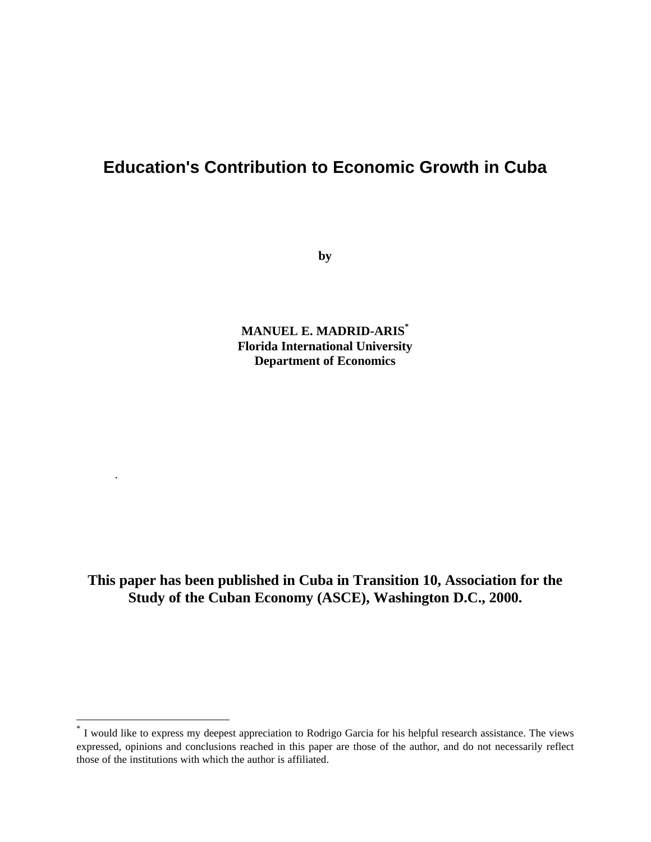# **Education's Contribution to Economic Growth in Cuba**

**by**

**MANUEL E. MADRID-ARIS\* Florida International University Department of Economics**

**This paper has been published in Cuba in Transition 10, Association for the Study of the Cuban Economy (ASCE), Washington D.C., 2000.**

.

 $\overline{a}$ 

<sup>\*</sup> I would like to express my deepest appreciation to Rodrigo Garcia for his helpful research assistance. The views expressed, opinions and conclusions reached in this paper are those of the author, and do not necessarily reflect those of the institutions with which the author is affiliated.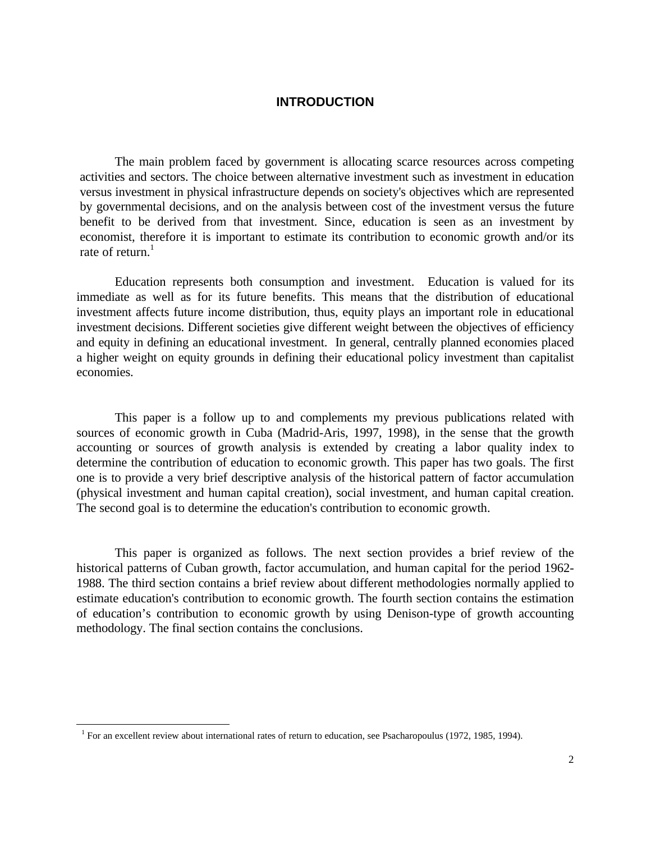#### **INTRODUCTION**

The main problem faced by government is allocating scarce resources across competing activities and sectors. The choice between alternative investment such as investment in education versus investment in physical infrastructure depends on society's objectives which are represented by governmental decisions, and on the analysis between cost of the investment versus the future benefit to be derived from that investment. Since, education is seen as an investment by economist, therefore it is important to estimate its contribution to economic growth and/or its rate of return. $<sup>1</sup>$ </sup>

Education represents both consumption and investment. Education is valued for its immediate as well as for its future benefits. This means that the distribution of educational investment affects future income distribution, thus, equity plays an important role in educational investment decisions. Different societies give different weight between the objectives of efficiency and equity in defining an educational investment. In general, centrally planned economies placed a higher weight on equity grounds in defining their educational policy investment than capitalist economies.

This paper is a follow up to and complements my previous publications related with sources of economic growth in Cuba (Madrid-Aris, 1997, 1998), in the sense that the growth accounting or sources of growth analysis is extended by creating a labor quality index to determine the contribution of education to economic growth. This paper has two goals. The first one is to provide a very brief descriptive analysis of the historical pattern of factor accumulation (physical investment and human capital creation), social investment, and human capital creation. The second goal is to determine the education's contribution to economic growth.

This paper is organized as follows. The next section provides a brief review of the historical patterns of Cuban growth, factor accumulation, and human capital for the period 1962- 1988. The third section contains a brief review about different methodologies normally applied to estimate education's contribution to economic growth. The fourth section contains the estimation of education's contribution to economic growth by using Denison-type of growth accounting methodology. The final section contains the conclusions.

 $\overline{a}$ 

<sup>&</sup>lt;sup>1</sup> For an excellent review about international rates of return to education, see Psacharopoulus (1972, 1985, 1994).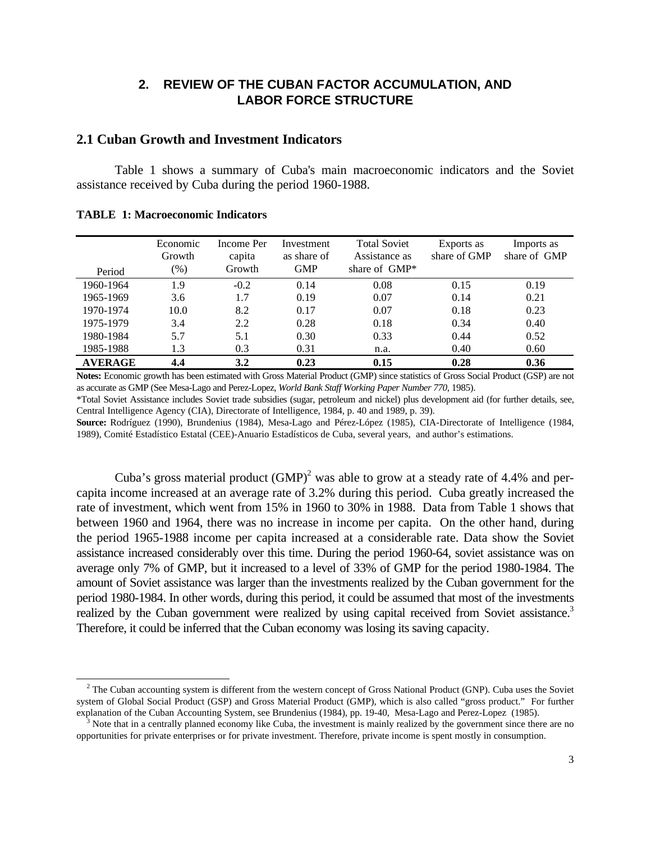# **2. REVIEW OF THE CUBAN FACTOR ACCUMULATION, AND LABOR FORCE STRUCTURE**

#### **2.1 Cuban Growth and Investment Indicators**

Table 1 shows a summary of Cuba's main macroeconomic indicators and the Soviet assistance received by Cuba during the period 1960-1988.

|  |  | <b>TABLE 1: Macroeconomic Indicators</b> |  |
|--|--|------------------------------------------|--|
|--|--|------------------------------------------|--|

 $\overline{a}$ 

| Period         | Economic<br>Growth<br>$(\%)$ | Income Per<br>capita<br>Growth | Investment<br>as share of<br><b>GMP</b> | <b>Total Soviet</b><br>Assistance as<br>share of $\omega$ | Exports as<br>share of GMP | Imports as<br>share of GMP |
|----------------|------------------------------|--------------------------------|-----------------------------------------|-----------------------------------------------------------|----------------------------|----------------------------|
| 1960-1964      | 1.9                          | $-0.2$                         | 0.14                                    | 0.08                                                      | 0.15                       | 0.19                       |
| 1965-1969      | 3.6                          | 1.7                            | 0.19                                    | 0.07                                                      | 0.14                       | 0.21                       |
| 1970-1974      | 10.0                         | 8.2                            | 0.17                                    | 0.07                                                      | 0.18                       | 0.23                       |
| 1975-1979      | 3.4                          | 2.2                            | 0.28                                    | 0.18                                                      | 0.34                       | 0.40                       |
| 1980-1984      | 5.7                          | 5.1                            | 0.30                                    | 0.33                                                      | 0.44                       | 0.52                       |
| 1985-1988      | 1.3                          | 0.3                            | 0.31                                    | n.a.                                                      | 0.40                       | 0.60                       |
| <b>AVERAGE</b> | 4.4                          | 3.2                            | 0.23                                    | 0.15                                                      | 0.28                       | 0.36                       |

**Notes:** Economic growth has been estimated with Gross Material Product (GMP) since statistics of Gross Social Product (GSP) are not as accurate as GMP (See Mesa-Lago and Perez-Lopez, *World Bank Staff Working Paper Number 770*, 1985).

\*Total Soviet Assistance includes Soviet trade subsidies (sugar, petroleum and nickel) plus development aid (for further details, see, Central Intelligence Agency (CIA), Directorate of Intelligence, 1984, p. 40 and 1989, p. 39).

**Source:** Rodríguez (1990), Brundenius (1984), Mesa-Lago and Pérez-López (1985), CIA-Directorate of Intelligence (1984, 1989), Comité Estadístico Estatal (CEE)-Anuario Estadísticos de Cuba, several years, and author's estimations.

Cuba's gross material product  $(GMP)^2$  was able to grow at a steady rate of 4.4% and percapita income increased at an average rate of 3.2% during this period. Cuba greatly increased the rate of investment, which went from 15% in 1960 to 30% in 1988. Data from Table 1 shows that between 1960 and 1964, there was no increase in income per capita. On the other hand, during the period 1965-1988 income per capita increased at a considerable rate. Data show the Soviet assistance increased considerably over this time. During the period 1960-64, soviet assistance was on average only 7% of GMP, but it increased to a level of 33% of GMP for the period 1980-1984. The amount of Soviet assistance was larger than the investments realized by the Cuban government for the period 1980-1984. In other words, during this period, it could be assumed that most of the investments realized by the Cuban government were realized by using capital received from Soviet assistance.<sup>3</sup> Therefore, it could be inferred that the Cuban economy was losing its saving capacity.

 $2^2$  The Cuban accounting system is different from the western concept of Gross National Product (GNP). Cuba uses the Soviet system of Global Social Product (GSP) and Gross Material Product (GMP), which is also called "gross product." For further explanation of the Cuban Accounting System, see Brundenius (1984), pp. 19-40, Mesa-Lago and Perez-Lopez (1985).

 $3$  Note that in a centrally planned economy like Cuba, the investment is mainly realized by the government since there are no opportunities for private enterprises or for private investment. Therefore, private income is spent mostly in consumption.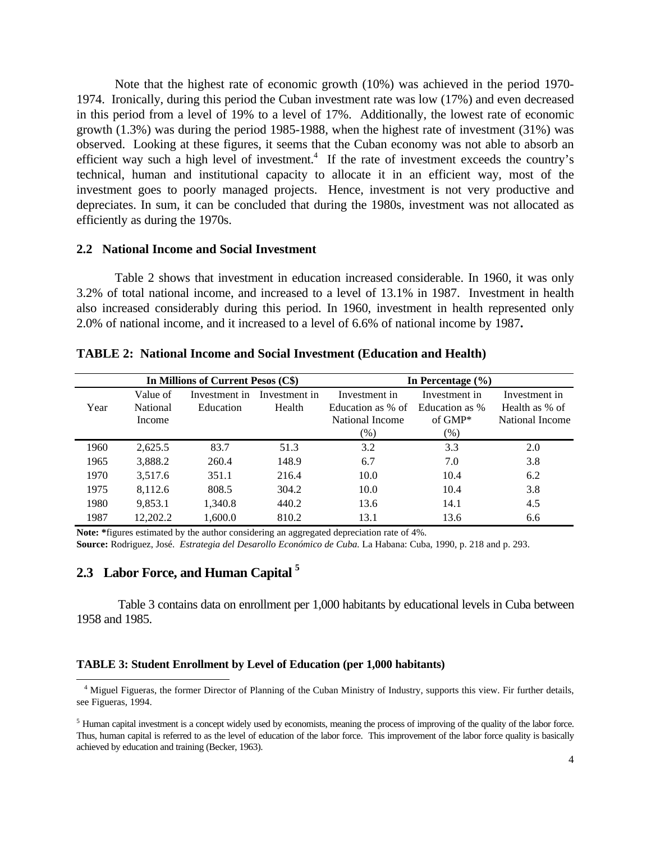Note that the highest rate of economic growth (10%) was achieved in the period 1970- 1974. Ironically, during this period the Cuban investment rate was low (17%) and even decreased in this period from a level of 19% to a level of 17%. Additionally, the lowest rate of economic growth (1.3%) was during the period 1985-1988, when the highest rate of investment (31%) was observed. Looking at these figures, it seems that the Cuban economy was not able to absorb an efficient way such a high level of investment.<sup>4</sup> If the rate of investment exceeds the country's technical, human and institutional capacity to allocate it in an efficient way, most of the investment goes to poorly managed projects. Hence, investment is not very productive and depreciates. In sum, it can be concluded that during the 1980s, investment was not allocated as efficiently as during the 1970s.

#### **2.2 National Income and Social Investment**

Table 2 shows that investment in education increased considerable. In 1960, it was only 3.2% of total national income, and increased to a level of 13.1% in 1987. Investment in health also increased considerably during this period. In 1960, investment in health represented only 2.0% of national income, and it increased to a level of 6.6% of national income by 1987**.**

|      |          | In Millions of Current Pesos (C\$) |               | In Percentage $(\% )$ |                |                 |  |
|------|----------|------------------------------------|---------------|-----------------------|----------------|-----------------|--|
|      | Value of | Investment in                      | Investment in | Investment in         | Investment in  | Investment in   |  |
| Year | National | Education                          | Health        | Education as % of     | Education as % | Health as % of  |  |
|      | Income   |                                    |               | National Income       | of $GMP^*$     | National Income |  |
|      |          |                                    |               | $(\%)$                | (% )           |                 |  |
| 1960 | 2,625.5  | 83.7                               | 51.3          | 3.2                   | 3.3            | 2.0             |  |
| 1965 | 3,888.2  | 260.4                              | 148.9         | 6.7                   | 7.0            | 3.8             |  |
| 1970 | 3.517.6  | 351.1                              | 216.4         | 10.0                  | 10.4           | 6.2             |  |
| 1975 | 8.112.6  | 808.5                              | 304.2         | 10.0                  | 10.4           | 3.8             |  |
| 1980 | 9.853.1  | 1,340.8                            | 440.2         | 13.6                  | 14.1           | 4.5             |  |
| 1987 | 12,202.2 | 1.600.0                            | 810.2         | 13.1                  | 13.6           | 6.6             |  |

**TABLE 2: National Income and Social Investment (Education and Health)**

**Note: \***figures estimated by the author considering an aggregated depreciation rate of 4%.

**Source:** Rodriguez, José. *Estrategia del Desarollo Económico de Cuba.* La Habana: Cuba, 1990, p. 218 and p. 293.

# **2.3 Labor Force, and Human Capital <sup>5</sup>**

 $\overline{a}$ 

 Table 3 contains data on enrollment per 1,000 habitants by educational levels in Cuba between 1958 and 1985.

#### **TABLE 3: Student Enrollment by Level of Education (per 1,000 habitants)**

<sup>&</sup>lt;sup>4</sup> Miguel Figueras, the former Director of Planning of the Cuban Ministry of Industry, supports this view. Fir further details, see Figueras, 1994.

 $<sup>5</sup>$  Human capital investment is a concept widely used by economists, meaning the process of improving of the quality of the labor force.</sup> Thus, human capital is referred to as the level of education of the labor force. This improvement of the labor force quality is basically achieved by education and training (Becker, 1963).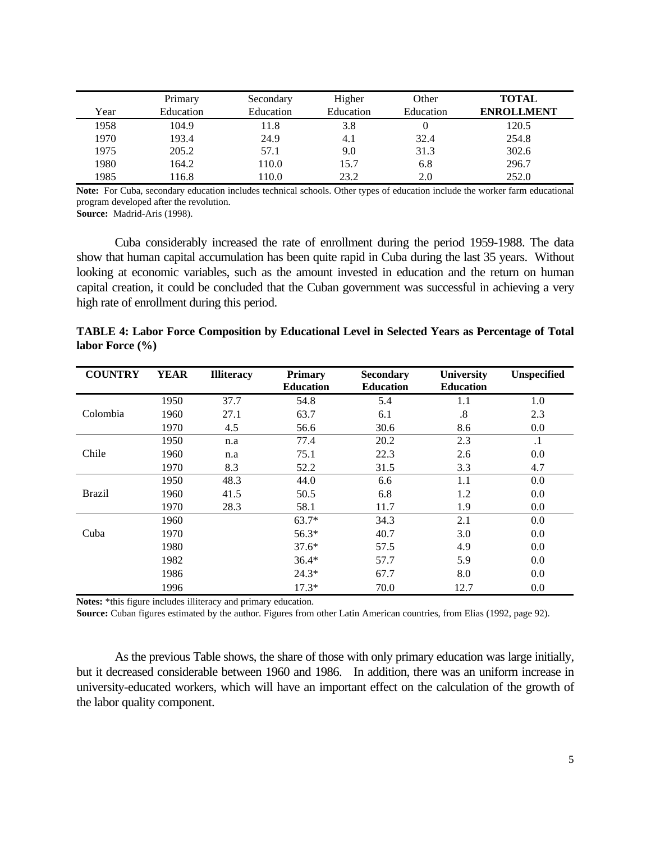|      | Primary   | Secondary | Higher    | Other     | <b>TOTAL</b>      |
|------|-----------|-----------|-----------|-----------|-------------------|
| Year | Education | Education | Education | Education | <b>ENROLLMENT</b> |
| 1958 | 104.9     | 11.8      | 3.8       |           | 120.5             |
| 1970 | 193.4     | 24.9      | 4.1       | 32.4      | 254.8             |
| 1975 | 205.2     | 57.1      | 9.0       | 31.3      | 302.6             |
| 1980 | 164.2     | 110.0     | 15.7      | 6.8       | 296.7             |
| 1985 | 16.8      | 110.0     | 23.2      | 2.0       | 252.0             |

**Note:** For Cuba, secondary education includes technical schools. Other types of education include the worker farm educational program developed after the revolution.

**Source:** Madrid-Aris (1998).

Cuba considerably increased the rate of enrollment during the period 1959-1988. The data show that human capital accumulation has been quite rapid in Cuba during the last 35 years. Without looking at economic variables, such as the amount invested in education and the return on human capital creation, it could be concluded that the Cuban government was successful in achieving a very high rate of enrollment during this period.

| TABLE 4: Labor Force Composition by Educational Level in Selected Years as Percentage of Total |  |  |  |  |
|------------------------------------------------------------------------------------------------|--|--|--|--|
| labor Force $(\% )$                                                                            |  |  |  |  |

| <b>COUNTRY</b> | <b>YEAR</b> | <b>Illiteracy</b> | <b>Primary</b>   | <b>Secondary</b> | <b>University</b> | Unspecified |
|----------------|-------------|-------------------|------------------|------------------|-------------------|-------------|
|                |             |                   | <b>Education</b> | <b>Education</b> | <b>Education</b>  |             |
|                | 1950        | 37.7              | 54.8             | 5.4              | 1.1               | 1.0         |
| Colombia       | 1960        | 27.1              | 63.7             | 6.1              | $\boldsymbol{.8}$ | 2.3         |
|                | 1970        | 4.5               | 56.6             | 30.6             | 8.6               | 0.0         |
|                | 1950        | n.a               | 77.4             | 20.2             | 2.3               | $\cdot$ 1   |
| Chile          | 1960        | n.a               | 75.1             | 22.3             | 2.6               | 0.0         |
|                | 1970        | 8.3               | 52.2             | 31.5             | 3.3               | 4.7         |
|                | 1950        | 48.3              | 44.0             | 6.6              | 1.1               | 0.0         |
| <b>Brazil</b>  | 1960        | 41.5              | 50.5             | 6.8              | 1.2               | 0.0         |
|                | 1970        | 28.3              | 58.1             | 11.7             | 1.9               | 0.0         |
|                | 1960        |                   | $63.7*$          | 34.3             | 2.1               | 0.0         |
| Cuba           | 1970        |                   | $56.3*$          | 40.7             | 3.0               | 0.0         |
|                | 1980        |                   | $37.6*$          | 57.5             | 4.9               | 0.0         |
|                | 1982        |                   | $36.4*$          | 57.7             | 5.9               | 0.0         |
|                | 1986        |                   | $24.3*$          | 67.7             | 8.0               | 0.0         |
|                | 1996        |                   | $17.3*$          | 70.0             | 12.7              | 0.0         |

**Notes:** \*this figure includes illiteracy and primary education.

**Source:** Cuban figures estimated by the author. Figures from other Latin American countries, from Elias (1992, page 92).

As the previous Table shows, the share of those with only primary education was large initially, but it decreased considerable between 1960 and 1986. In addition, there was an uniform increase in university-educated workers, which will have an important effect on the calculation of the growth of the labor quality component.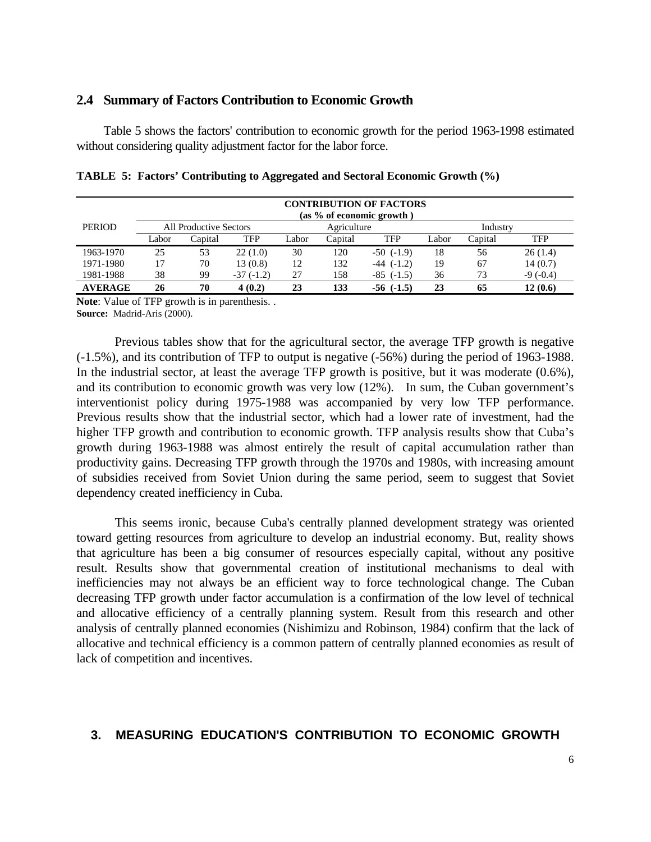#### **2.4 Summary of Factors Contribution to Economic Growth**

Table 5 shows the factors' contribution to economic growth for the period 1963-1998 estimated without considering quality adjustment factor for the labor force.

|                | <b>CONTRIBUTION OF FACTORS</b><br>(as 9% of economic growth) |                        |             |       |             |                |       |          |            |
|----------------|--------------------------------------------------------------|------------------------|-------------|-------|-------------|----------------|-------|----------|------------|
| <b>PERIOD</b>  |                                                              | All Productive Sectors |             |       | Agriculture |                |       | Industry |            |
|                | Labor                                                        | Capital                | TFP         | Labor | Capital     | <b>TFP</b>     | Labor | Capital  | <b>TFP</b> |
| 1963-1970      | 25                                                           | 53                     | 22(1.0)     | 30    | 120         | $-50$ $(-1.9)$ | 18    | 56       | 26(1.4)    |
| 1971-1980      | 17                                                           | 70                     | 13(0.8)     | 12    | 132         | $-44$ $(-1.2)$ | 19    | 67       | 14(0.7)    |
| 1981-1988      | 38                                                           | 99                     | $-37(-1.2)$ | 27    | 158         | $-85$ $(-1.5)$ | 36    | 73       | $-9(-0.4)$ |
| <b>AVERAGE</b> | 26                                                           | 70                     | 4(0.2)      | 23    | 133         | $-56$ $(-1.5)$ | 23    | 65       | 12(0.6)    |

**TABLE 5: Factors' Contributing to Aggregated and Sectoral Economic Growth (%)**

**Note**: Value of TFP growth is in parenthesis. . **Source:** Madrid-Aris (2000).

Previous tables show that for the agricultural sector, the average TFP growth is negative (-1.5%), and its contribution of TFP to output is negative (-56%) during the period of 1963-1988. In the industrial sector, at least the average TFP growth is positive, but it was moderate (0.6%), and its contribution to economic growth was very low (12%). In sum, the Cuban government's interventionist policy during 1975-1988 was accompanied by very low TFP performance. Previous results show that the industrial sector, which had a lower rate of investment, had the higher TFP growth and contribution to economic growth. TFP analysis results show that Cuba's growth during 1963-1988 was almost entirely the result of capital accumulation rather than productivity gains. Decreasing TFP growth through the 1970s and 1980s, with increasing amount of subsidies received from Soviet Union during the same period, seem to suggest that Soviet dependency created inefficiency in Cuba.

This seems ironic, because Cuba's centrally planned development strategy was oriented toward getting resources from agriculture to develop an industrial economy. But, reality shows that agriculture has been a big consumer of resources especially capital, without any positive result. Results show that governmental creation of institutional mechanisms to deal with inefficiencies may not always be an efficient way to force technological change. The Cuban decreasing TFP growth under factor accumulation is a confirmation of the low level of technical and allocative efficiency of a centrally planning system. Result from this research and other analysis of centrally planned economies (Nishimizu and Robinson, 1984) confirm that the lack of allocative and technical efficiency is a common pattern of centrally planned economies as result of lack of competition and incentives.

# **3. MEASURING EDUCATION'S CONTRIBUTION TO ECONOMIC GROWTH**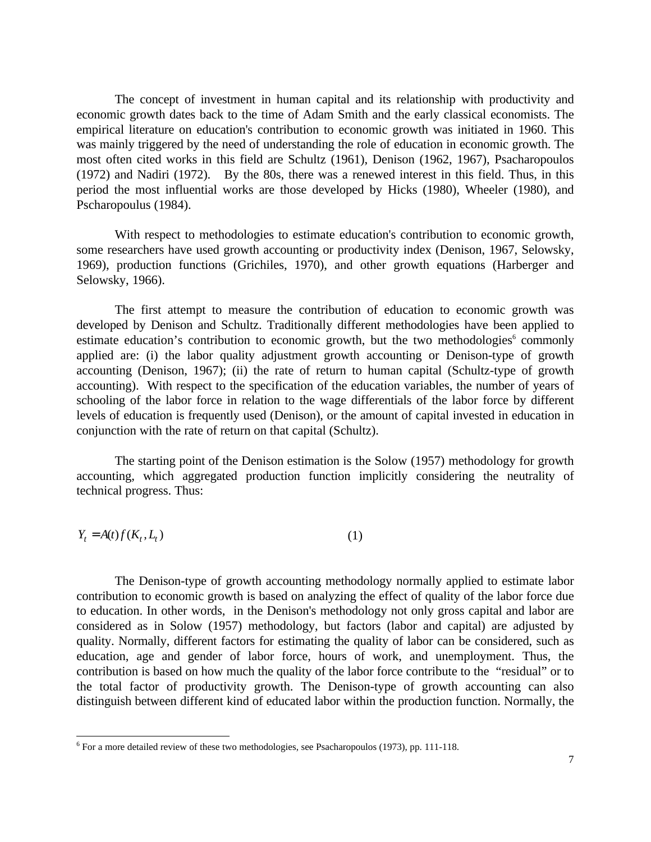The concept of investment in human capital and its relationship with productivity and economic growth dates back to the time of Adam Smith and the early classical economists. The empirical literature on education's contribution to economic growth was initiated in 1960. This was mainly triggered by the need of understanding the role of education in economic growth. The most often cited works in this field are Schultz (1961), Denison (1962, 1967), Psacharopoulos (1972) and Nadiri (1972). By the 80s, there was a renewed interest in this field. Thus, in this period the most influential works are those developed by Hicks (1980), Wheeler (1980), and Pscharopoulus (1984).

With respect to methodologies to estimate education's contribution to economic growth, some researchers have used growth accounting or productivity index (Denison, 1967, Selowsky, 1969), production functions (Grichiles, 1970), and other growth equations (Harberger and Selowsky, 1966).

The first attempt to measure the contribution of education to economic growth was developed by Denison and Schultz. Traditionally different methodologies have been applied to estimate education's contribution to economic growth, but the two methodologies<sup>6</sup> commonly applied are: (i) the labor quality adjustment growth accounting or Denison-type of growth accounting (Denison, 1967); (ii) the rate of return to human capital (Schultz-type of growth accounting). With respect to the specification of the education variables, the number of years of schooling of the labor force in relation to the wage differentials of the labor force by different levels of education is frequently used (Denison), or the amount of capital invested in education in conjunction with the rate of return on that capital (Schultz).

The starting point of the Denison estimation is the Solow (1957) methodology for growth accounting, which aggregated production function implicitly considering the neutrality of technical progress. Thus:

$$
Y_t = A(t)f(K_t, L_t)
$$
\n<sup>(1)</sup>

 $\overline{a}$ 

The Denison-type of growth accounting methodology normally applied to estimate labor contribution to economic growth is based on analyzing the effect of quality of the labor force due to education. In other words, in the Denison's methodology not only gross capital and labor are considered as in Solow (1957) methodology, but factors (labor and capital) are adjusted by quality. Normally, different factors for estimating the quality of labor can be considered, such as education, age and gender of labor force, hours of work, and unemployment. Thus, the contribution is based on how much the quality of the labor force contribute to the "residual" or to the total factor of productivity growth. The Denison-type of growth accounting can also distinguish between different kind of educated labor within the production function. Normally, the

 $6$  For a more detailed review of these two methodologies, see Psacharopoulos (1973), pp. 111-118.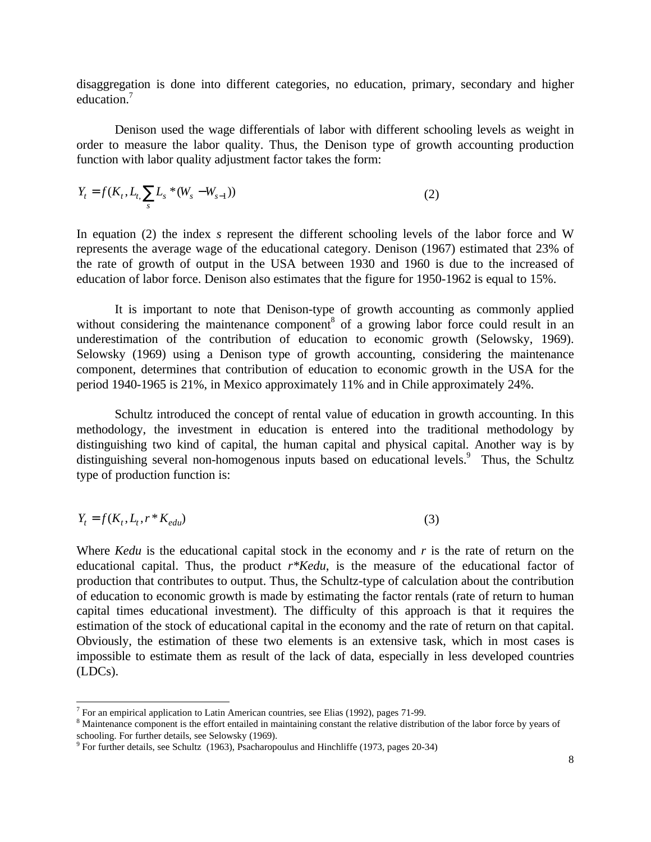disaggregation is done into different categories, no education, primary, secondary and higher education.<sup>7</sup>

Denison used the wage differentials of labor with different schooling levels as weight in order to measure the labor quality. Thus, the Denison type of growth accounting production function with labor quality adjustment factor takes the form:

$$
Y_t = f(K_t, L_t, \sum_{s} L_s * (W_s - W_{s-1}))
$$
\n(2)

In equation (2) the index *s* represent the different schooling levels of the labor force and W represents the average wage of the educational category. Denison (1967) estimated that 23% of the rate of growth of output in the USA between 1930 and 1960 is due to the increased of education of labor force. Denison also estimates that the figure for 1950-1962 is equal to 15%.

It is important to note that Denison-type of growth accounting as commonly applied without considering the maintenance component<sup>8</sup> of a growing labor force could result in an underestimation of the contribution of education to economic growth (Selowsky, 1969). Selowsky (1969) using a Denison type of growth accounting, considering the maintenance component, determines that contribution of education to economic growth in the USA for the period 1940-1965 is 21%, in Mexico approximately 11% and in Chile approximately 24%.

Schultz introduced the concept of rental value of education in growth accounting. In this methodology, the investment in education is entered into the traditional methodology by distinguishing two kind of capital, the human capital and physical capital. Another way is by distinguishing several non-homogenous inputs based on educational levels.<sup>9</sup> Thus, the Schultz type of production function is:

$$
Y_t = f(K_t, L_t, r \ast K_{edu})
$$
\n<sup>(3)</sup>

Where *Kedu* is the educational capital stock in the economy and *r* is the rate of return on the educational capital. Thus, the product *r\*Kedu*, is the measure of the educational factor of production that contributes to output. Thus, the Schultz-type of calculation about the contribution of education to economic growth is made by estimating the factor rentals (rate of return to human capital times educational investment). The difficulty of this approach is that it requires the estimation of the stock of educational capital in the economy and the rate of return on that capital. Obviously, the estimation of these two elements is an extensive task, which in most cases is impossible to estimate them as result of the lack of data, especially in less developed countries (LDCs).

-

<sup>&</sup>lt;sup>7</sup> For an empirical application to Latin American countries, see Elias (1992), pages 71-99.

<sup>&</sup>lt;sup>8</sup> Maintenance component is the effort entailed in maintaining constant the relative distribution of the labor force by years of

schooling. For further details, see Selowsky (1969). 9 For further details, see Schultz (1963), Psacharopoulus and Hinchliffe (1973, pages 20-34)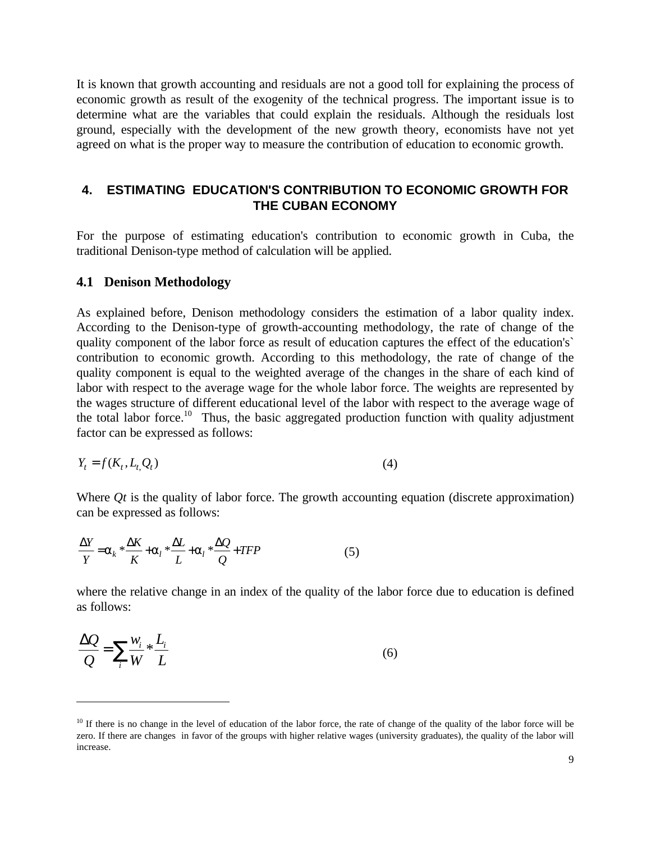It is known that growth accounting and residuals are not a good toll for explaining the process of economic growth as result of the exogenity of the technical progress. The important issue is to determine what are the variables that could explain the residuals. Although the residuals lost ground, especially with the development of the new growth theory, economists have not yet agreed on what is the proper way to measure the contribution of education to economic growth.

# **4. ESTIMATING EDUCATION'S CONTRIBUTION TO ECONOMIC GROWTH FOR THE CUBAN ECONOMY**

For the purpose of estimating education's contribution to economic growth in Cuba, the traditional Denison-type method of calculation will be applied.

#### **4.1 Denison Methodology**

 $\overline{a}$ 

As explained before, Denison methodology considers the estimation of a labor quality index. According to the Denison-type of growth-accounting methodology, the rate of change of the quality component of the labor force as result of education captures the effect of the education's` contribution to economic growth. According to this methodology, the rate of change of the quality component is equal to the weighted average of the changes in the share of each kind of labor with respect to the average wage for the whole labor force. The weights are represented by the wages structure of different educational level of the labor with respect to the average wage of the total labor force.<sup>10</sup> Thus, the basic aggregated production function with quality adjustment factor can be expressed as follows:

$$
Y_t = f(K_t, L_t, Q_t) \tag{4}
$$

Where *Qt* is the quality of labor force. The growth accounting equation (discrete approximation) can be expressed as follows:

$$
\frac{\Delta Y}{Y} = a_k \times \frac{\Delta K}{K} + a_l \times \frac{\Delta L}{L} + a_l \times \frac{\Delta Q}{Q} + TFP
$$
 (5)

where the relative change in an index of the quality of the labor force due to education is defined as follows:

$$
\frac{\Delta Q}{Q} = \sum_{i} \frac{W_i}{W} * \frac{L_i}{L}
$$
(6)

 $10$  If there is no change in the level of education of the labor force, the rate of change of the quality of the labor force will be zero. If there are changes in favor of the groups with higher relative wages (university graduates), the quality of the labor will increase.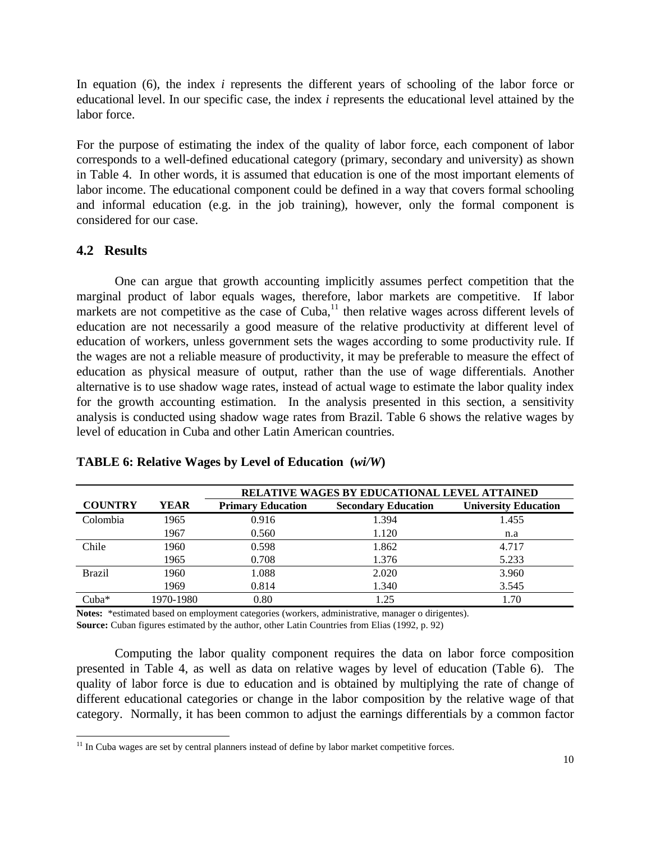In equation (6), the index *i* represents the different years of schooling of the labor force or educational level. In our specific case, the index *i* represents the educational level attained by the labor force.

For the purpose of estimating the index of the quality of labor force, each component of labor corresponds to a well-defined educational category (primary, secondary and university) as shown in Table 4. In other words, it is assumed that education is one of the most important elements of labor income. The educational component could be defined in a way that covers formal schooling and informal education (e.g. in the job training), however, only the formal component is considered for our case.

# **4.2 Results**

 $\overline{a}$ 

One can argue that growth accounting implicitly assumes perfect competition that the marginal product of labor equals wages, therefore, labor markets are competitive. If labor markets are not competitive as the case of  $Cuba$ ,<sup>11</sup> then relative wages across different levels of education are not necessarily a good measure of the relative productivity at different level of education of workers, unless government sets the wages according to some productivity rule. If the wages are not a reliable measure of productivity, it may be preferable to measure the effect of education as physical measure of output, rather than the use of wage differentials. Another alternative is to use shadow wage rates, instead of actual wage to estimate the labor quality index for the growth accounting estimation. In the analysis presented in this section, a sensitivity analysis is conducted using shadow wage rates from Brazil. Table 6 shows the relative wages by level of education in Cuba and other Latin American countries.

|                |           | RELATIVE WAGES BY EDUCATIONAL LEVEL ATTAINED |                            |                             |  |  |
|----------------|-----------|----------------------------------------------|----------------------------|-----------------------------|--|--|
| <b>COUNTRY</b> | YEAR      | <b>Primary Education</b>                     | <b>Secondary Education</b> | <b>University Education</b> |  |  |
| Colombia       | 1965      | 0.916                                        | 1.394                      | 1.455                       |  |  |
|                | 1967      | 0.560                                        | 1.120                      | n.a                         |  |  |
| Chile          | 1960      | 0.598                                        | 1.862                      | 4.717                       |  |  |
|                | 1965      | 0.708                                        | 1.376                      | 5.233                       |  |  |
| <b>Brazil</b>  | 1960      | 1.088                                        | 2.020                      | 3.960                       |  |  |
|                | 1969      | 0.814                                        | 1.340                      | 3.545                       |  |  |
| $Cuba*$        | 1970-1980 | 0.80                                         | 1.25                       | 1.70                        |  |  |

# **TABLE 6: Relative Wages by Level of Education (***wi/W***)**

**Notes:** \*estimated based on employment categories (workers, administrative, manager o dirigentes). **Source:** Cuban figures estimated by the author, other Latin Countries from Elias (1992, p. 92)

Computing the labor quality component requires the data on labor force composition presented in Table 4, as well as data on relative wages by level of education (Table 6). The quality of labor force is due to education and is obtained by multiplying the rate of change of different educational categories or change in the labor composition by the relative wage of that category. Normally, it has been common to adjust the earnings differentials by a common factor

<sup>&</sup>lt;sup>11</sup> In Cuba wages are set by central planners instead of define by labor market competitive forces.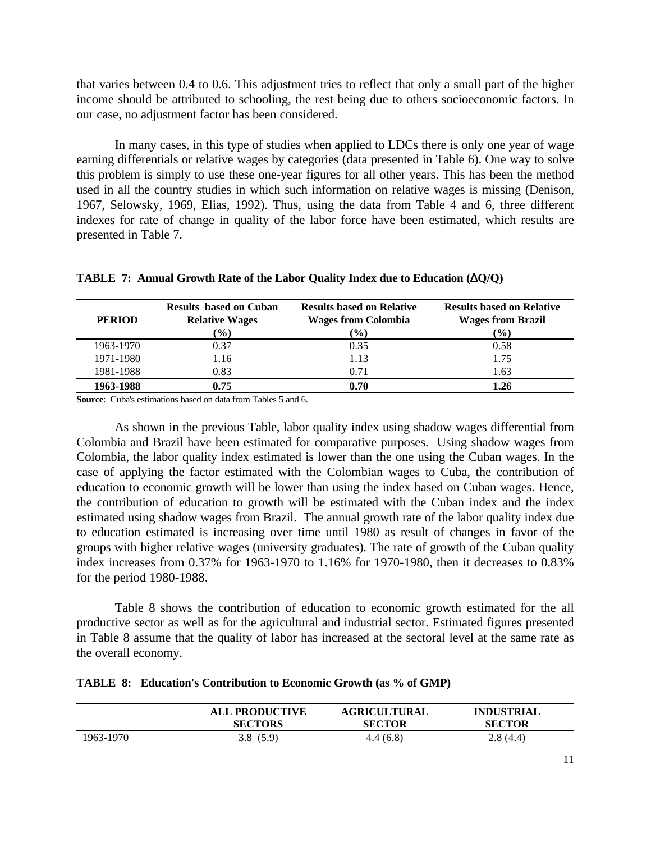that varies between 0.4 to 0.6. This adjustment tries to reflect that only a small part of the higher income should be attributed to schooling, the rest being due to others socioeconomic factors. In our case, no adjustment factor has been considered.

In many cases, in this type of studies when applied to LDCs there is only one year of wage earning differentials or relative wages by categories (data presented in Table 6). One way to solve this problem is simply to use these one-year figures for all other years. This has been the method used in all the country studies in which such information on relative wages is missing (Denison, 1967, Selowsky, 1969, Elias, 1992). Thus, using the data from Table 4 and 6, three different indexes for rate of change in quality of the labor force have been estimated, which results are presented in Table 7.

| <b>PERIOD</b> | <b>Results based on Cuban</b><br><b>Relative Wages</b><br>(%) | <b>Results based on Relative</b><br><b>Wages from Colombia</b><br>$\frac{9}{0}$ | <b>Results based on Relative</b><br><b>Wages from Brazil</b><br>$\frac{9}{6}$ |
|---------------|---------------------------------------------------------------|---------------------------------------------------------------------------------|-------------------------------------------------------------------------------|
| 1963-1970     | 0.37                                                          | 0.35                                                                            | 0.58                                                                          |
| 1971-1980     | 1.16                                                          | 1.13                                                                            | 1.75                                                                          |
| 1981-1988     | 0.83                                                          | 0.71                                                                            | 1.63                                                                          |
| 1963-1988     | 0.75                                                          | 0.70                                                                            | 1.26                                                                          |

| <b>TABLE 7: Annual Growth Rate of the Labor Quality Index due to Education (<math>\Delta Q/Q</math>)</b> |  |
|----------------------------------------------------------------------------------------------------------|--|
|----------------------------------------------------------------------------------------------------------|--|

**Source**: Cuba's estimations based on data from Tables 5 and 6.

As shown in the previous Table, labor quality index using shadow wages differential from Colombia and Brazil have been estimated for comparative purposes. Using shadow wages from Colombia, the labor quality index estimated is lower than the one using the Cuban wages. In the case of applying the factor estimated with the Colombian wages to Cuba, the contribution of education to economic growth will be lower than using the index based on Cuban wages. Hence, the contribution of education to growth will be estimated with the Cuban index and the index estimated using shadow wages from Brazil. The annual growth rate of the labor quality index due to education estimated is increasing over time until 1980 as result of changes in favor of the groups with higher relative wages (university graduates). The rate of growth of the Cuban quality index increases from 0.37% for 1963-1970 to 1.16% for 1970-1980, then it decreases to 0.83% for the period 1980-1988.

Table 8 shows the contribution of education to economic growth estimated for the all productive sector as well as for the agricultural and industrial sector. Estimated figures presented in Table 8 assume that the quality of labor has increased at the sectoral level at the same rate as the overall economy.

|  |  | TABLE 8: Education's Contribution to Economic Growth (as % of GMP) |  |  |  |  |
|--|--|--------------------------------------------------------------------|--|--|--|--|
|--|--|--------------------------------------------------------------------|--|--|--|--|

|           | <b>ALL PRODUCTIVE</b> | <b>AGRICULTURAL</b> | <b>INDUSTRIAL</b> |
|-----------|-----------------------|---------------------|-------------------|
|           | <b>SECTORS</b>        | <b>SECTOR</b>       | <b>SECTOR</b>     |
| 1963-1970 | 3.8(5.9)              | 4.4(6.8)            | 2.8(4.4)          |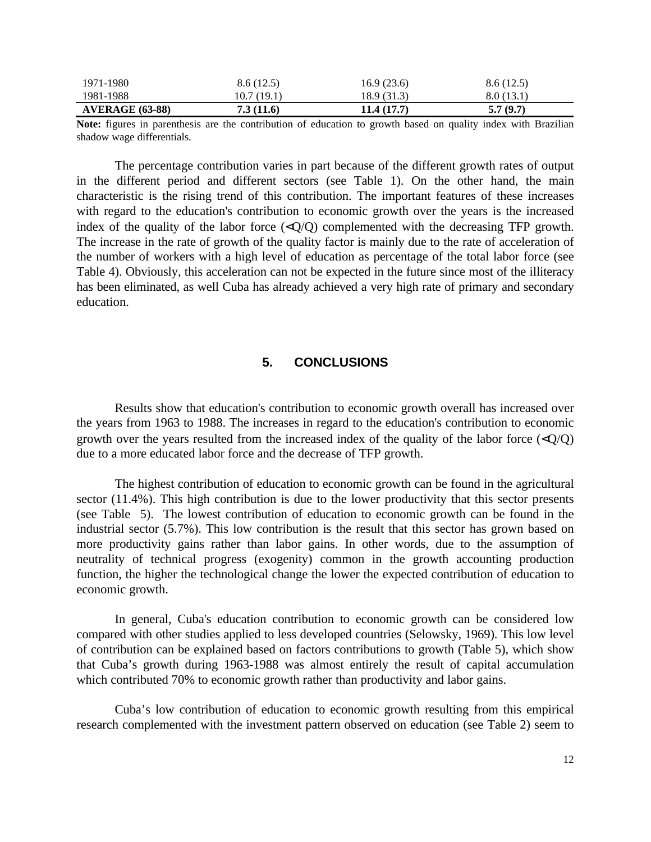| 1971-1980              | 8.6(12.5)  | 16.9(23.6)  | 8.6(12.5) |
|------------------------|------------|-------------|-----------|
| 1981-1988              | 10.7(19.1) | 18.9 (31.3) | 8.0(13.1) |
| <b>AVERAGE (63-88)</b> | 7.3(11.6)  | 11.4(17.7)  | 5.7(9.7)  |

**Note:** figures in parenthesis are the contribution of education to growth based on quality index with Brazilian shadow wage differentials.

The percentage contribution varies in part because of the different growth rates of output in the different period and different sectors (see Table 1). On the other hand, the main characteristic is the rising trend of this contribution. The important features of these increases with regard to the education's contribution to economic growth over the years is the increased index of the quality of the labor force  $\langle \langle Q/Q \rangle$  complemented with the decreasing TFP growth. The increase in the rate of growth of the quality factor is mainly due to the rate of acceleration of the number of workers with a high level of education as percentage of the total labor force (see Table 4). Obviously, this acceleration can not be expected in the future since most of the illiteracy has been eliminated, as well Cuba has already achieved a very high rate of primary and secondary education.

# **5. CONCLUSIONS**

Results show that education's contribution to economic growth overall has increased over the years from 1963 to 1988. The increases in regard to the education's contribution to economic growth over the years resulted from the increased index of the quality of the labor force  $\langle \langle Q \rangle Q \rangle$ due to a more educated labor force and the decrease of TFP growth.

The highest contribution of education to economic growth can be found in the agricultural sector (11.4%). This high contribution is due to the lower productivity that this sector presents (see Table 5). The lowest contribution of education to economic growth can be found in the industrial sector (5.7%). This low contribution is the result that this sector has grown based on more productivity gains rather than labor gains. In other words, due to the assumption of neutrality of technical progress (exogenity) common in the growth accounting production function, the higher the technological change the lower the expected contribution of education to economic growth.

In general, Cuba's education contribution to economic growth can be considered low compared with other studies applied to less developed countries (Selowsky, 1969). This low level of contribution can be explained based on factors contributions to growth (Table 5), which show that Cuba's growth during 1963-1988 was almost entirely the result of capital accumulation which contributed 70% to economic growth rather than productivity and labor gains.

Cuba's low contribution of education to economic growth resulting from this empirical research complemented with the investment pattern observed on education (see Table 2) seem to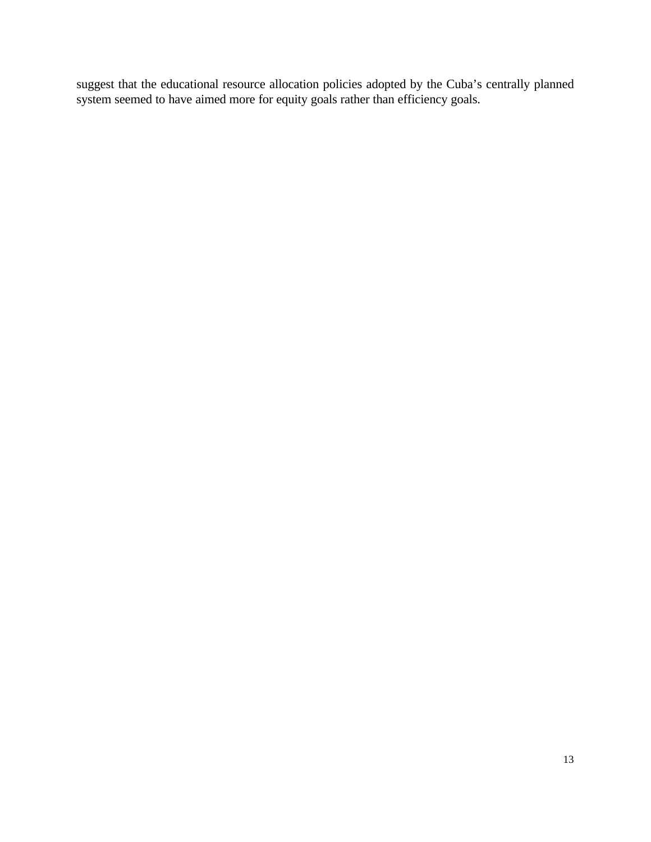suggest that the educational resource allocation policies adopted by the Cuba's centrally planned system seemed to have aimed more for equity goals rather than efficiency goals.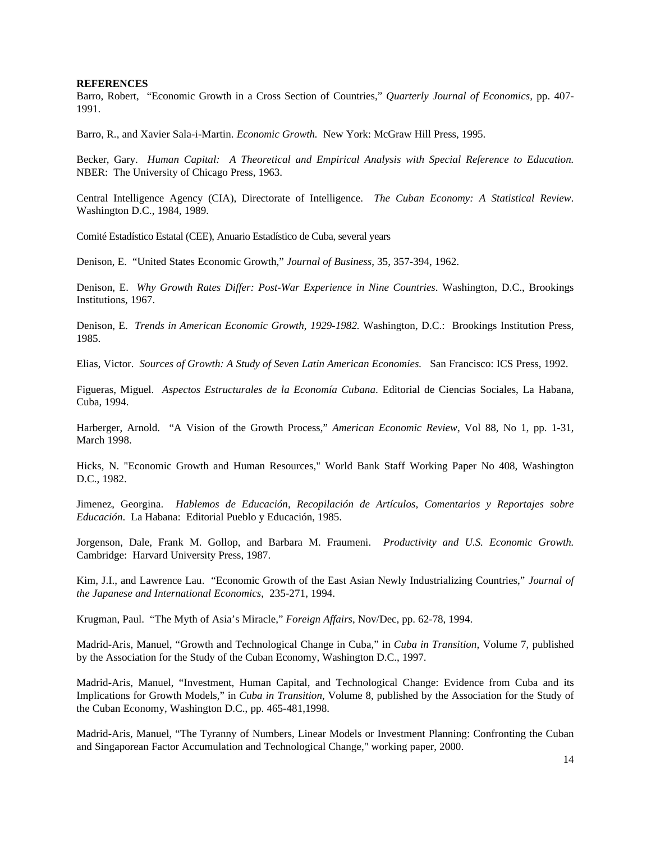#### **REFERENCES**

Barro, Robert, "Economic Growth in a Cross Section of Countries," *Quarterly Journal of Economics,* pp. 407- 1991.

Barro, R., and Xavier Sala-i-Martin. *Economic Growth.* New York: McGraw Hill Press, 1995.

Becker, Gary. *Human Capital: A Theoretical and Empirical Analysis with Special Reference to Education.* NBER: The University of Chicago Press, 1963.

Central Intelligence Agency (CIA), Directorate of Intelligence. *The Cuban Economy: A Statistical Review*. Washington D.C., 1984, 1989.

Comité Estadístico Estatal (CEE), Anuario Estadístico de Cuba, several years

Denison, E. "United States Economic Growth," *Journal of Business*, 35, 357-394, 1962.

Denison, E. *Why Growth Rates Differ: Post-War Experience in Nine Countries*. Washington, D.C., Brookings Institutions, 1967.

Denison, E. *Trends in American Economic Growth*, *1929-1982.* Washington, D.C.: Brookings Institution Press, 1985.

Elias, Victor. *Sources of Growth: A Study of Seven Latin American Economies.* San Francisco: ICS Press, 1992.

Figueras, Miguel. *Aspectos Estructurales de la Economía Cubana*. Editorial de Ciencias Sociales, La Habana, Cuba, 1994.

Harberger, Arnold. "A Vision of the Growth Process," *American Economic Review*, Vol 88, No 1, pp. 1-31, March 1998.

Hicks, N. "Economic Growth and Human Resources," World Bank Staff Working Paper No 408, Washington D.C., 1982.

Jimenez, Georgina. *Hablemos de Educación, Recopilación de Artículos, Comentarios y Reportajes sobre Educación*. La Habana: Editorial Pueblo y Educación, 1985.

Jorgenson, Dale, Frank M. Gollop, and Barbara M. Fraumeni. *Productivity and U.S. Economic Growth.* Cambridge: Harvard University Press, 1987.

Kim, J.I., and Lawrence Lau. "Economic Growth of the East Asian Newly Industrializing Countries," *Journal of the Japanese and International Economics*, 235-271, 1994.

Krugman, Paul. "The Myth of Asia's Miracle," *Foreign Affairs*, Nov/Dec, pp. 62-78, 1994.

Madrid-Aris, Manuel, "Growth and Technological Change in Cuba," in *Cuba in Transition*, Volume 7, published by the Association for the Study of the Cuban Economy, Washington D.C., 1997.

Madrid-Aris, Manuel, "Investment, Human Capital, and Technological Change: Evidence from Cuba and its Implications for Growth Models," in *Cuba in Transition*, Volume 8, published by the Association for the Study of the Cuban Economy, Washington D.C., pp. 465-481,1998.

Madrid-Aris, Manuel, "The Tyranny of Numbers, Linear Models or Investment Planning: Confronting the Cuban and Singaporean Factor Accumulation and Technological Change," working paper, 2000.